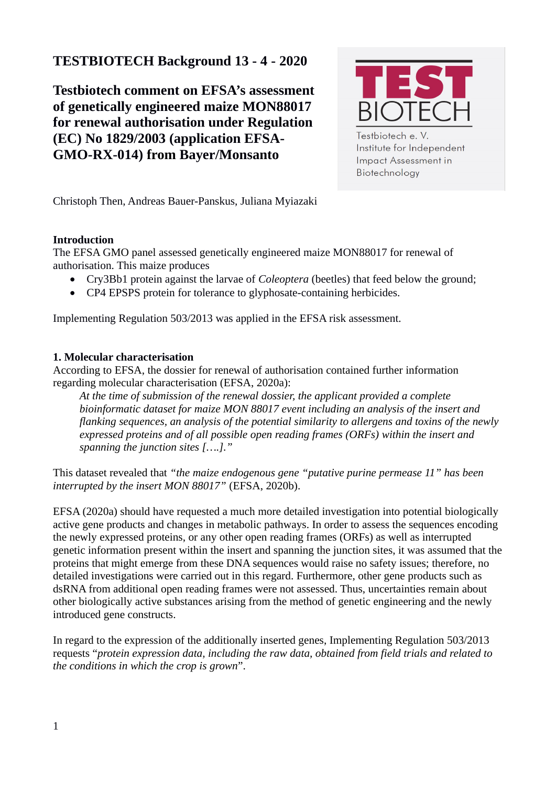# **TESTBIOTECH Background 13 - 4 - 2020**

**Testbiotech comment on EFSA's assessment of genetically engineered maize MON88017 for renewal authorisation under Regulation (EC) No 1829/2003 (application EFSA-GMO-RX-014) from Bayer/Monsanto** 



Testbiotech e. V. Institute for Independent Impact Assessment in Biotechnology

Christoph Then, Andreas Bauer-Panskus, Juliana Myiazaki

## **Introduction**

The EFSA GMO panel assessed genetically engineered maize MON88017 for renewal of authorisation. This maize produces

- Cry3Bb1 protein against the larvae of *Coleoptera* (beetles) that feed below the ground;
- CP4 EPSPS protein for tolerance to glyphosate-containing herbicides.

Implementing Regulation 503/2013 was applied in the EFSA risk assessment.

## **1. Molecular characterisation**

According to EFSA, the dossier for renewal of authorisation contained further information regarding molecular characterisation (EFSA, 2020a):

*At the time of submission of the renewal dossier, the applicant provided a complete bioinformatic dataset for maize MON 88017 event including an analysis of the insert and flanking sequences, an analysis of the potential similarity to allergens and toxins of the newly expressed proteins and of all possible open reading frames (ORFs) within the insert and spanning the junction sites [….]."*

This dataset revealed that *"the maize endogenous gene "putative purine permease 11" has been interrupted by the insert MON 88017"* (EFSA, 2020b).

EFSA (2020a) should have requested a much more detailed investigation into potential biologically active gene products and changes in metabolic pathways. In order to assess the sequences encoding the newly expressed proteins, or any other open reading frames (ORFs) as well as interrupted genetic information present within the insert and spanning the junction sites, it was assumed that the proteins that might emerge from these DNA sequences would raise no safety issues; therefore, no detailed investigations were carried out in this regard. Furthermore, other gene products such as dsRNA from additional open reading frames were not assessed. Thus, uncertainties remain about other biologically active substances arising from the method of genetic engineering and the newly introduced gene constructs.

In regard to the expression of the additionally inserted genes, Implementing Regulation 503/2013 requests "*protein expression data, including the raw data, obtained from field trials and related to the conditions in which the crop is grown*".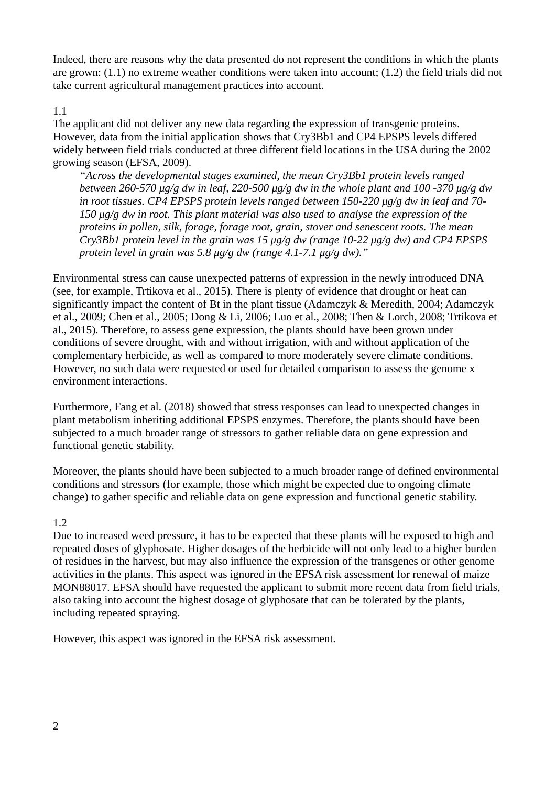Indeed, there are reasons why the data presented do not represent the conditions in which the plants are grown: (1.1) no extreme weather conditions were taken into account; (1.2) the field trials did not take current agricultural management practices into account.

#### 1.1

The applicant did not deliver any new data regarding the expression of transgenic proteins. However, data from the initial application shows that Cry3Bb1 and CP4 EPSPS levels differed widely between field trials conducted at three different field locations in the USA during the 2002 growing season (EFSA, 2009).

*"Across the developmental stages examined, the mean Cry3Bb1 protein levels ranged between 260-570 μg/g dw in leaf, 220-500 μg/g dw in the whole plant and 100 -370 μg/g dw in root tissues. CP4 EPSPS protein levels ranged between 150-220 μg/g dw in leaf and 70- 150 μg/g dw in root. This plant material was also used to analyse the expression of the proteins in pollen, silk, forage, forage root, grain, stover and senescent roots. The mean Cry3Bb1 protein level in the grain was 15 μg/g dw (range 10-22 μg/g dw) and CP4 EPSPS protein level in grain was 5.8 μg/g dw (range 4.1-7.1 μg/g dw)."*

Environmental stress can cause unexpected patterns of expression in the newly introduced DNA (see, for example, Trtikova et al., 2015). There is plenty of evidence that drought or heat can significantly impact the content of Bt in the plant tissue (Adamczyk & Meredith, 2004; Adamczyk et al., 2009; Chen et al., 2005; Dong & Li, 2006; Luo et al., 2008; Then & Lorch, 2008; Trtikova et al., 2015). Therefore, to assess gene expression, the plants should have been grown under conditions of severe drought, with and without irrigation, with and without application of the complementary herbicide, as well as compared to more moderately severe climate conditions. However, no such data were requested or used for detailed comparison to assess the genome x environment interactions.

Furthermore, Fang et al. (2018) showed that stress responses can lead to unexpected changes in plant metabolism inheriting additional EPSPS enzymes. Therefore, the plants should have been subjected to a much broader range of stressors to gather reliable data on gene expression and functional genetic stability.

Moreover, the plants should have been subjected to a much broader range of defined environmental conditions and stressors (for example, those which might be expected due to ongoing climate change) to gather specific and reliable data on gene expression and functional genetic stability.

## 1.2

Due to increased weed pressure, it has to be expected that these plants will be exposed to high and repeated doses of glyphosate. Higher dosages of the herbicide will not only lead to a higher burden of residues in the harvest, but may also influence the expression of the transgenes or other genome activities in the plants. This aspect was ignored in the EFSA risk assessment for renewal of maize MON88017. EFSA should have requested the applicant to submit more recent data from field trials, also taking into account the highest dosage of glyphosate that can be tolerated by the plants, including repeated spraying.

However, this aspect was ignored in the EFSA risk assessment.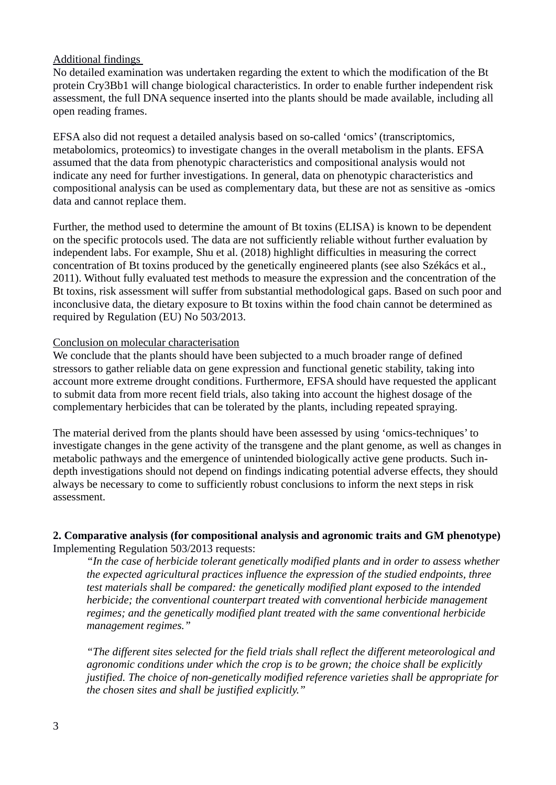#### Additional findings

No detailed examination was undertaken regarding the extent to which the modification of the Bt protein Cry3Bb1 will change biological characteristics. In order to enable further independent risk assessment, the full DNA sequence inserted into the plants should be made available, including all open reading frames.

EFSA also did not request a detailed analysis based on so-called 'omics' (transcriptomics, metabolomics, proteomics) to investigate changes in the overall metabolism in the plants. EFSA assumed that the data from phenotypic characteristics and compositional analysis would not indicate any need for further investigations. In general, data on phenotypic characteristics and compositional analysis can be used as complementary data, but these are not as sensitive as -omics data and cannot replace them.

Further, the method used to determine the amount of Bt toxins (ELISA) is known to be dependent on the specific protocols used. The data are not sufficiently reliable without further evaluation by independent labs. For example, Shu et al. (2018) highlight difficulties in measuring the correct concentration of Bt toxins produced by the genetically engineered plants (see also Székács et al., 2011). Without fully evaluated test methods to measure the expression and the concentration of the Bt toxins, risk assessment will suffer from substantial methodological gaps. Based on such poor and inconclusive data, the dietary exposure to Bt toxins within the food chain cannot be determined as required by Regulation (EU) No 503/2013.

#### Conclusion on molecular characterisation

We conclude that the plants should have been subjected to a much broader range of defined stressors to gather reliable data on gene expression and functional genetic stability, taking into account more extreme drought conditions. Furthermore, EFSA should have requested the applicant to submit data from more recent field trials, also taking into account the highest dosage of the complementary herbicides that can be tolerated by the plants, including repeated spraying.

The material derived from the plants should have been assessed by using 'omics-techniques' to investigate changes in the gene activity of the transgene and the plant genome, as well as changes in metabolic pathways and the emergence of unintended biologically active gene products. Such indepth investigations should not depend on findings indicating potential adverse effects, they should always be necessary to come to sufficiently robust conclusions to inform the next steps in risk assessment.

#### **2. Comparative analysis (for compositional analysis and agronomic traits and GM phenotype)** Implementing Regulation 503/2013 requests:

*"In the case of herbicide tolerant genetically modified plants and in order to assess whether the expected agricultural practices influence the expression of the studied endpoints, three test materials shall be compared: the genetically modified plant exposed to the intended herbicide; the conventional counterpart treated with conventional herbicide management regimes; and the genetically modified plant treated with the same conventional herbicide management regimes."*

*"The different sites selected for the field trials shall reflect the different meteorological and agronomic conditions under which the crop is to be grown; the choice shall be explicitly justified. The choice of non-genetically modified reference varieties shall be appropriate for the chosen sites and shall be justified explicitly."*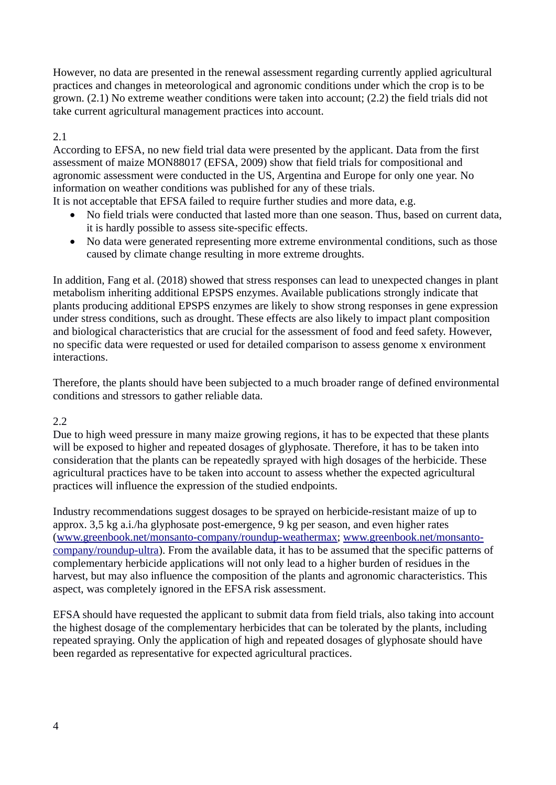However, no data are presented in the renewal assessment regarding currently applied agricultural practices and changes in meteorological and agronomic conditions under which the crop is to be grown. (2.1) No extreme weather conditions were taken into account; (2.2) the field trials did not take current agricultural management practices into account.

## 2.1

According to EFSA, no new field trial data were presented by the applicant. Data from the first assessment of maize MON88017 (EFSA, 2009) show that field trials for compositional and agronomic assessment were conducted in the US, Argentina and Europe for only one year. No information on weather conditions was published for any of these trials.

It is not acceptable that EFSA failed to require further studies and more data, e.g.

- No field trials were conducted that lasted more than one season. Thus, based on current data, it is hardly possible to assess site-specific effects.
- No data were generated representing more extreme environmental conditions, such as those caused by climate change resulting in more extreme droughts.

In addition, Fang et al. (2018) showed that stress responses can lead to unexpected changes in plant metabolism inheriting additional EPSPS enzymes. Available publications strongly indicate that plants producing additional EPSPS enzymes are likely to show strong responses in gene expression under stress conditions, such as drought. These effects are also likely to impact plant composition and biological characteristics that are crucial for the assessment of food and feed safety. However, no specific data were requested or used for detailed comparison to assess genome x environment interactions.

Therefore, the plants should have been subjected to a much broader range of defined environmental conditions and stressors to gather reliable data.

## 2.2

Due to high weed pressure in many maize growing regions, it has to be expected that these plants will be exposed to higher and repeated dosages of glyphosate. Therefore, it has to be taken into consideration that the plants can be repeatedly sprayed with high dosages of the herbicide. These agricultural practices have to be taken into account to assess whether the expected agricultural practices will influence the expression of the studied endpoints.

Industry recommendations suggest dosages to be sprayed on herbicide-resistant maize of up to approx. 3,5 kg a.i./ha glyphosate post-emergence, 9 kg per season, and even higher rates ([www.greenbook.net/monsanto-company/roundup-weathermax](http://www.greenbook.net/monsanto-company/roundup-weathermax); [www.greenbook.net/monsanto](http://www.greenbook.net/monsanto-company/roundup-ultra)[company/roundup-ultra](http://www.greenbook.net/monsanto-company/roundup-ultra)). From the available data, it has to be assumed that the specific patterns of complementary herbicide applications will not only lead to a higher burden of residues in the harvest, but may also influence the composition of the plants and agronomic characteristics. This aspect, was completely ignored in the EFSA risk assessment.

EFSA should have requested the applicant to submit data from field trials, also taking into account the highest dosage of the complementary herbicides that can be tolerated by the plants, including repeated spraying. Only the application of high and repeated dosages of glyphosate should have been regarded as representative for expected agricultural practices.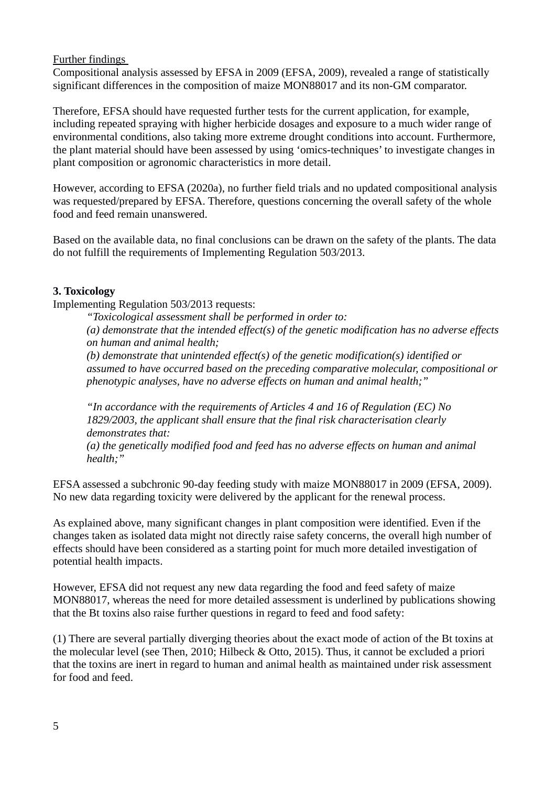Further findings

Compositional analysis assessed by EFSA in 2009 (EFSA, 2009), revealed a range of statistically significant differences in the composition of maize MON88017 and its non-GM comparator.

Therefore, EFSA should have requested further tests for the current application, for example, including repeated spraying with higher herbicide dosages and exposure to a much wider range of environmental conditions, also taking more extreme drought conditions into account. Furthermore, the plant material should have been assessed by using 'omics-techniques' to investigate changes in plant composition or agronomic characteristics in more detail.

However, according to EFSA (2020a), no further field trials and no updated compositional analysis was requested/prepared by EFSA. Therefore, questions concerning the overall safety of the whole food and feed remain unanswered.

Based on the available data, no final conclusions can be drawn on the safety of the plants. The data do not fulfill the requirements of Implementing Regulation 503/2013.

## **3. Toxicology**

Implementing Regulation 503/2013 requests:

*"Toxicological assessment shall be performed in order to:*

*(a) demonstrate that the intended effect(s) of the genetic modification has no adverse effects on human and animal health;*

*(b) demonstrate that unintended effect(s) of the genetic modification(s) identified or assumed to have occurred based on the preceding comparative molecular, compositional or phenotypic analyses, have no adverse effects on human and animal health;"* 

*"In accordance with the requirements of Articles 4 and 16 of Regulation (EC) No 1829/2003, the applicant shall ensure that the final risk characterisation clearly demonstrates that:*

*(a) the genetically modified food and feed has no adverse effects on human and animal health;"* 

EFSA assessed a subchronic 90-day feeding study with maize MON88017 in 2009 (EFSA, 2009). No new data regarding toxicity were delivered by the applicant for the renewal process.

As explained above, many significant changes in plant composition were identified. Even if the changes taken as isolated data might not directly raise safety concerns, the overall high number of effects should have been considered as a starting point for much more detailed investigation of potential health impacts.

However, EFSA did not request any new data regarding the food and feed safety of maize MON88017, whereas the need for more detailed assessment is underlined by publications showing that the Bt toxins also raise further questions in regard to feed and food safety:

(1) There are several partially diverging theories about the exact mode of action of the Bt toxins at the molecular level (see Then, 2010; Hilbeck & Otto, 2015). Thus, it cannot be excluded a priori that the toxins are inert in regard to human and animal health as maintained under risk assessment for food and feed.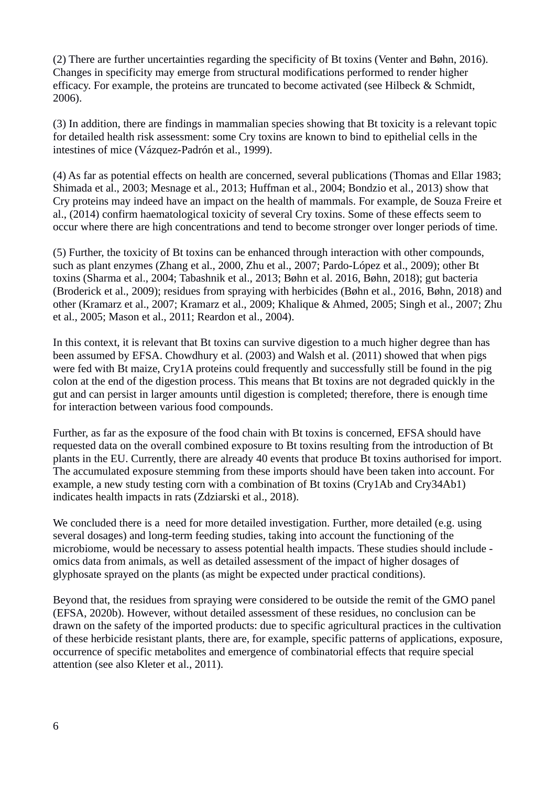(2) There are further uncertainties regarding the specificity of Bt toxins (Venter and Bøhn, 2016). Changes in specificity may emerge from structural modifications performed to render higher efficacy. For example, the proteins are truncated to become activated (see Hilbeck & Schmidt, 2006).

(3) In addition, there are findings in mammalian species showing that Bt toxicity is a relevant topic for detailed health risk assessment: some Cry toxins are known to bind to epithelial cells in the intestines of mice (Vázquez-Padrón et al., 1999).

(4) As far as potential effects on health are concerned, several publications (Thomas and Ellar 1983; Shimada et al., 2003; Mesnage et al., 2013; Huffman et al., 2004; Bondzio et al., 2013) show that Cry proteins may indeed have an impact on the health of mammals. For example, de Souza Freire et al., (2014) confirm haematological toxicity of several Cry toxins. Some of these effects seem to occur where there are high concentrations and tend to become stronger over longer periods of time.

(5) Further, the toxicity of Bt toxins can be enhanced through interaction with other compounds, such as plant enzymes (Zhang et al., 2000, Zhu et al., 2007; Pardo-López et al., 2009); other Bt toxins (Sharma et al., 2004; Tabashnik et al., 2013; Bøhn et al. 2016, Bøhn, 2018); gut bacteria (Broderick et al., 2009); residues from spraying with herbicides (Bøhn et al., 2016, Bøhn, 2018) and other (Kramarz et al., 2007; Kramarz et al., 2009; Khalique & Ahmed, 2005; Singh et al., 2007; Zhu et al., 2005; Mason et al., 2011; Reardon et al., 2004).

In this context, it is relevant that Bt toxins can survive digestion to a much higher degree than has been assumed by EFSA. Chowdhury et al. (2003) and Walsh et al. (2011) showed that when pigs were fed with Bt maize, Cry1A proteins could frequently and successfully still be found in the pig colon at the end of the digestion process. This means that Bt toxins are not degraded quickly in the gut and can persist in larger amounts until digestion is completed; therefore, there is enough time for interaction between various food compounds.

Further, as far as the exposure of the food chain with Bt toxins is concerned, EFSA should have requested data on the overall combined exposure to Bt toxins resulting from the introduction of Bt plants in the EU. Currently, there are already 40 events that produce Bt toxins authorised for import. The accumulated exposure stemming from these imports should have been taken into account. For example, a new study testing corn with a combination of Bt toxins (Cry1Ab and Cry34Ab1) indicates health impacts in rats (Zdziarski et al., 2018).

We concluded there is a need for more detailed investigation. Further, more detailed (e.g. using several dosages) and long-term feeding studies, taking into account the functioning of the microbiome, would be necessary to assess potential health impacts. These studies should include omics data from animals, as well as detailed assessment of the impact of higher dosages of glyphosate sprayed on the plants (as might be expected under practical conditions).

Beyond that, the residues from spraying were considered to be outside the remit of the GMO panel (EFSA, 2020b). However, without detailed assessment of these residues, no conclusion can be drawn on the safety of the imported products: due to specific agricultural practices in the cultivation of these herbicide resistant plants, there are, for example, specific patterns of applications, exposure, occurrence of specific metabolites and emergence of combinatorial effects that require special attention (see also Kleter et al., 2011).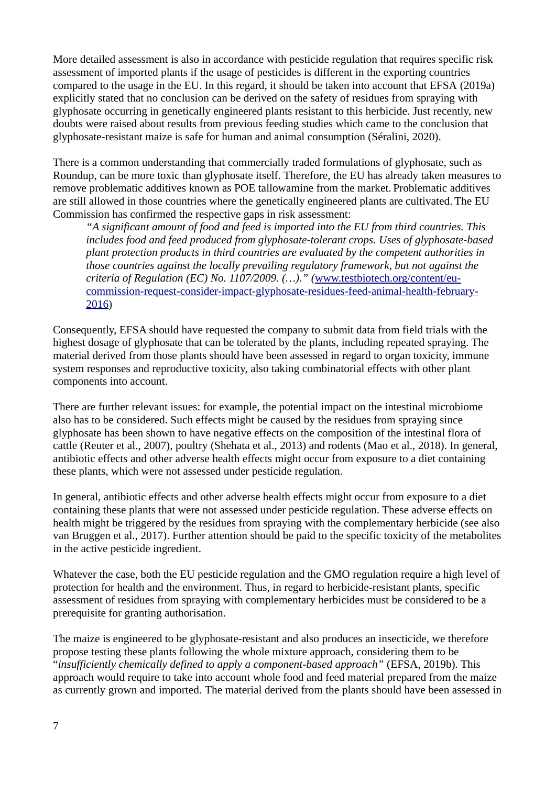More detailed assessment is also in accordance with pesticide regulation that requires specific risk assessment of imported plants if the usage of pesticides is different in the exporting countries compared to the usage in the EU. In this regard, it should be taken into account that EFSA (2019a) explicitly stated that no conclusion can be derived on the safety of residues from spraying with glyphosate occurring in genetically engineered plants resistant to this herbicide. Just recently, new doubts were raised about results from previous feeding studies which came to the conclusion that glyphosate-resistant maize is safe for human and animal consumption (Séralini, 2020).

There is a common understanding that commercially traded formulations of glyphosate, such as Roundup, can be more toxic than glyphosate itself. Therefore, the EU has already taken measures to remove problematic additives known as POE tallowamine from the market. Problematic additives are still allowed in those countries where the genetically engineered plants are cultivated. The EU Commission has confirmed the respective gaps in risk assessment:

*"A significant amount of food and feed is imported into the EU from third countries. This includes food and feed produced from glyphosate-tolerant crops. Uses of glyphosate-based plant protection products in third countries are evaluated by the competent authorities in those countries against the locally prevailing regulatory framework, but not against the criteria of Regulation (EC) No. 1107/2009. (…)." (*[www.testbiotech.org/content/eu](https://www.testbiotech.org/content/eu-commission-request-consider-impact-glyphosate-residues-feed-animal-health-february-2016)[commission-request-consider-impact-glyphosate-residues-feed-animal-health-february-](https://www.testbiotech.org/content/eu-commission-request-consider-impact-glyphosate-residues-feed-animal-health-february-2016)[2016](https://www.testbiotech.org/content/eu-commission-request-consider-impact-glyphosate-residues-feed-animal-health-february-2016))

Consequently, EFSA should have requested the company to submit data from field trials with the highest dosage of glyphosate that can be tolerated by the plants, including repeated spraying. The material derived from those plants should have been assessed in regard to organ toxicity, immune system responses and reproductive toxicity, also taking combinatorial effects with other plant components into account.

There are further relevant issues: for example, the potential impact on the intestinal microbiome also has to be considered. Such effects might be caused by the residues from spraying since glyphosate has been shown to have negative effects on the composition of the intestinal flora of cattle (Reuter et al., 2007), poultry (Shehata et al., 2013) and rodents (Mao et al., 2018). In general, antibiotic effects and other adverse health effects might occur from exposure to a diet containing these plants, which were not assessed under pesticide regulation.

In general, antibiotic effects and other adverse health effects might occur from exposure to a diet containing these plants that were not assessed under pesticide regulation. These adverse effects on health might be triggered by the residues from spraying with the complementary herbicide (see also van Bruggen et al., 2017). Further attention should be paid to the specific toxicity of the metabolites in the active pesticide ingredient.

Whatever the case, both the EU pesticide regulation and the GMO regulation require a high level of protection for health and the environment. Thus, in regard to herbicide-resistant plants, specific assessment of residues from spraying with complementary herbicides must be considered to be a prerequisite for granting authorisation.

The maize is engineered to be glyphosate-resistant and also produces an insecticide, we therefore propose testing these plants following the whole mixture approach, considering them to be "*insufficiently chemically defined to apply a component-based approach"* (EFSA, 2019b)*.* This approach would require to take into account whole food and feed material prepared from the maize as currently grown and imported. The material derived from the plants should have been assessed in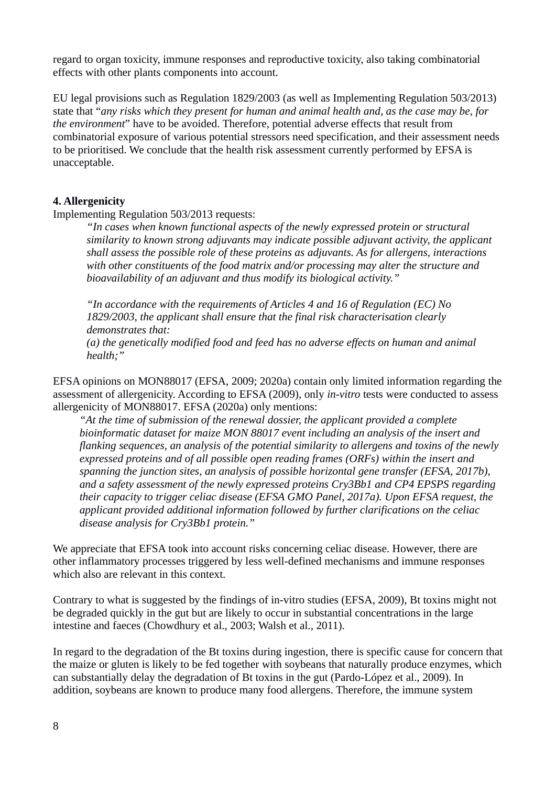regard to organ toxicity, immune responses and reproductive toxicity, also taking combinatorial effects with other plants components into account.

EU legal provisions such as Regulation 1829/2003 (as well as Implementing Regulation 503/2013) state that "*any risks which they present for human and animal health and, as the case may be, for the environment*" have to be avoided. Therefore, potential adverse effects that result from combinatorial exposure of various potential stressors need specification, and their assessment needs to be prioritised. We conclude that the health risk assessment currently performed by EFSA is unacceptable.

## **4. Allergenicity**

Implementing Regulation 503/2013 requests:

*"In cases when known functional aspects of the newly expressed protein or structural similarity to known strong adjuvants may indicate possible adjuvant activity, the applicant shall assess the possible role of these proteins as adjuvants. As for allergens, interactions with other constituents of the food matrix and/or processing may alter the structure and bioavailability of an adjuvant and thus modify its biological activity."* 

*"In accordance with the requirements of Articles 4 and 16 of Regulation (EC) No 1829/2003, the applicant shall ensure that the final risk characterisation clearly demonstrates that:*

*(a) the genetically modified food and feed has no adverse effects on human and animal health;"* 

EFSA opinions on MON88017 (EFSA, 2009; 2020a) contain only limited information regarding the assessment of allergenicity. According to EFSA (2009), only *in-vitro* tests were conducted to assess allergenicity of MON88017. EFSA (2020a) only mentions:

*"At the time of submission of the renewal dossier, the applicant provided a complete bioinformatic dataset for maize MON 88017 event including an analysis of the insert and flanking sequences, an analysis of the potential similarity to allergens and toxins of the newly expressed proteins and of all possible open reading frames (ORFs) within the insert and spanning the junction sites, an analysis of possible horizontal gene transfer (EFSA, 2017b), and a safety assessment of the newly expressed proteins Cry3Bb1 and CP4 EPSPS regarding their capacity to trigger celiac disease (EFSA GMO Panel, 2017a). Upon EFSA request, the applicant provided additional information followed by further clarifications on the celiac disease analysis for Cry3Bb1 protein."*

We appreciate that EFSA took into account risks concerning celiac disease. However, there are other inflammatory processes triggered by less well-defined mechanisms and immune responses which also are relevant in this context.

Contrary to what is suggested by the findings of in-vitro studies (EFSA, 2009), Bt toxins might not be degraded quickly in the gut but are likely to occur in substantial concentrations in the large intestine and faeces (Chowdhury et al., 2003; Walsh et al., 2011).

In regard to the degradation of the Bt toxins during ingestion, there is specific cause for concern that the maize or gluten is likely to be fed together with soybeans that naturally produce enzymes, which can substantially delay the degradation of Bt toxins in the gut (Pardo-López et al., 2009). In addition, soybeans are known to produce many food allergens. Therefore, the immune system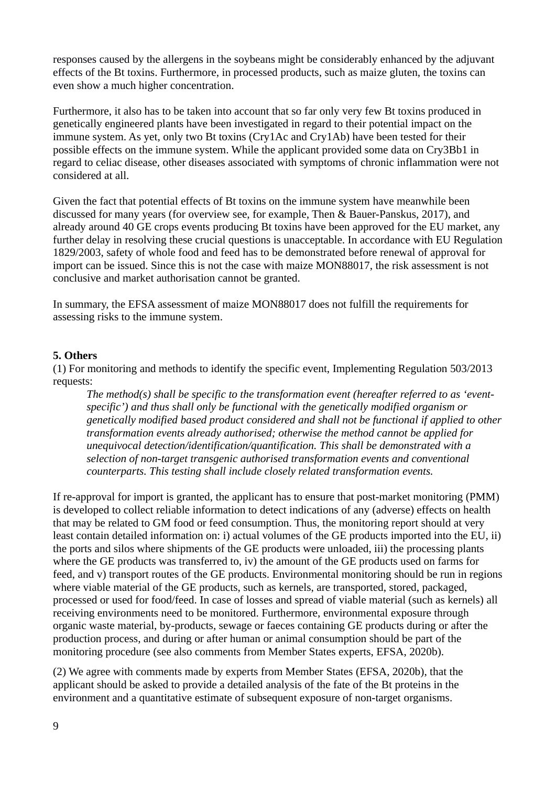responses caused by the allergens in the soybeans might be considerably enhanced by the adjuvant effects of the Bt toxins. Furthermore, in processed products, such as maize gluten, the toxins can even show a much higher concentration.

Furthermore, it also has to be taken into account that so far only very few Bt toxins produced in genetically engineered plants have been investigated in regard to their potential impact on the immune system. As yet, only two Bt toxins (Cry1Ac and Cry1Ab) have been tested for their possible effects on the immune system. While the applicant provided some data on Cry3Bb1 in regard to celiac disease, other diseases associated with symptoms of chronic inflammation were not considered at all.

Given the fact that potential effects of Bt toxins on the immune system have meanwhile been discussed for many years (for overview see, for example, Then & Bauer-Panskus, 2017), and already around 40 GE crops events producing Bt toxins have been approved for the EU market, any further delay in resolving these crucial questions is unacceptable. In accordance with EU Regulation 1829/2003, safety of whole food and feed has to be demonstrated before renewal of approval for import can be issued. Since this is not the case with maize MON88017, the risk assessment is not conclusive and market authorisation cannot be granted.

In summary, the EFSA assessment of maize MON88017 does not fulfill the requirements for assessing risks to the immune system.

#### **5. Others**

(1) For monitoring and methods to identify the specific event, Implementing Regulation 503/2013 requests:

*The method(s) shall be specific to the transformation event (hereafter referred to as 'eventspecific') and thus shall only be functional with the genetically modified organism or genetically modified based product considered and shall not be functional if applied to other transformation events already authorised; otherwise the method cannot be applied for unequivocal detection/identification/quantification. This shall be demonstrated with a selection of non-target transgenic authorised transformation events and conventional counterparts. This testing shall include closely related transformation events.*

If re-approval for import is granted, the applicant has to ensure that post-market monitoring (PMM) is developed to collect reliable information to detect indications of any (adverse) effects on health that may be related to GM food or feed consumption. Thus, the monitoring report should at very least contain detailed information on: i) actual volumes of the GE products imported into the EU, ii) the ports and silos where shipments of the GE products were unloaded, iii) the processing plants where the GE products was transferred to, iv) the amount of the GE products used on farms for feed, and v) transport routes of the GE products. Environmental monitoring should be run in regions where viable material of the GE products, such as kernels, are transported, stored, packaged, processed or used for food/feed. In case of losses and spread of viable material (such as kernels) all receiving environments need to be monitored. Furthermore, environmental exposure through organic waste material, by-products, sewage or faeces containing GE products during or after the production process, and during or after human or animal consumption should be part of the monitoring procedure (see also comments from Member States experts, EFSA, 2020b).

(2) We agree with comments made by experts from Member States (EFSA, 2020b), that the applicant should be asked to provide a detailed analysis of the fate of the Bt proteins in the environment and a quantitative estimate of subsequent exposure of non-target organisms.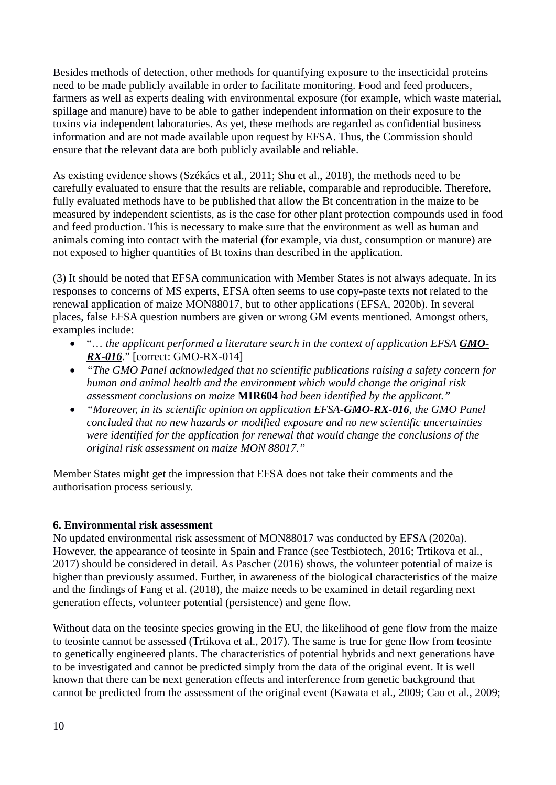Besides methods of detection, other methods for quantifying exposure to the insecticidal proteins need to be made publicly available in order to facilitate monitoring. Food and feed producers, farmers as well as experts dealing with environmental exposure (for example, which waste material, spillage and manure) have to be able to gather independent information on their exposure to the toxins via independent laboratories. As yet, these methods are regarded as confidential business information and are not made available upon request by EFSA. Thus, the Commission should ensure that the relevant data are both publicly available and reliable.

As existing evidence shows (Székács et al., 2011; Shu et al., 2018), the methods need to be carefully evaluated to ensure that the results are reliable, comparable and reproducible. Therefore, fully evaluated methods have to be published that allow the Bt concentration in the maize to be measured by independent scientists, as is the case for other plant protection compounds used in food and feed production. This is necessary to make sure that the environment as well as human and animals coming into contact with the material (for example, via dust, consumption or manure) are not exposed to higher quantities of Bt toxins than described in the application.

(3) It should be noted that EFSA communication with Member States is not always adequate. In its responses to concerns of MS experts, EFSA often seems to use copy-paste texts not related to the renewal application of maize MON88017, but to other applications (EFSA, 2020b). In several places, false EFSA question numbers are given or wrong GM events mentioned. Amongst others, examples include:

- "... the applicant performed a literature search in the context of application EFSA **GMO**-*RX-016.*" [correct: GMO-RX-014]
- *"The GMO Panel acknowledged that no scientific publications raising a safety concern for human and animal health and the environment which would change the original risk assessment conclusions on maize* **MIR604** *had been identified by the applicant."*
- *"Moreover, in its scientific opinion on application EFSA-GMO-RX-016, the GMO Panel concluded that no new hazards or modified exposure and no new scientific uncertainties were identified for the application for renewal that would change the conclusions of the original risk assessment on maize MON 88017."*

Member States might get the impression that EFSA does not take their comments and the authorisation process seriously.

## **6. Environmental risk assessment**

No updated environmental risk assessment of MON88017 was conducted by EFSA (2020a). However, the appearance of teosinte in Spain and France (see Testbiotech, 2016; Trtikova et al., 2017) should be considered in detail. As Pascher (2016) shows, the volunteer potential of maize is higher than previously assumed. Further, in awareness of the biological characteristics of the maize and the findings of Fang et al. (2018), the maize needs to be examined in detail regarding next generation effects, volunteer potential (persistence) and gene flow.

Without data on the teosinte species growing in the EU, the likelihood of gene flow from the maize to teosinte cannot be assessed (Trtikova et al., 2017). The same is true for gene flow from teosinte to genetically engineered plants. The characteristics of potential hybrids and next generations have to be investigated and cannot be predicted simply from the data of the original event. It is well known that there can be next generation effects and interference from genetic background that cannot be predicted from the assessment of the original event (Kawata et al., 2009; Cao et al., 2009;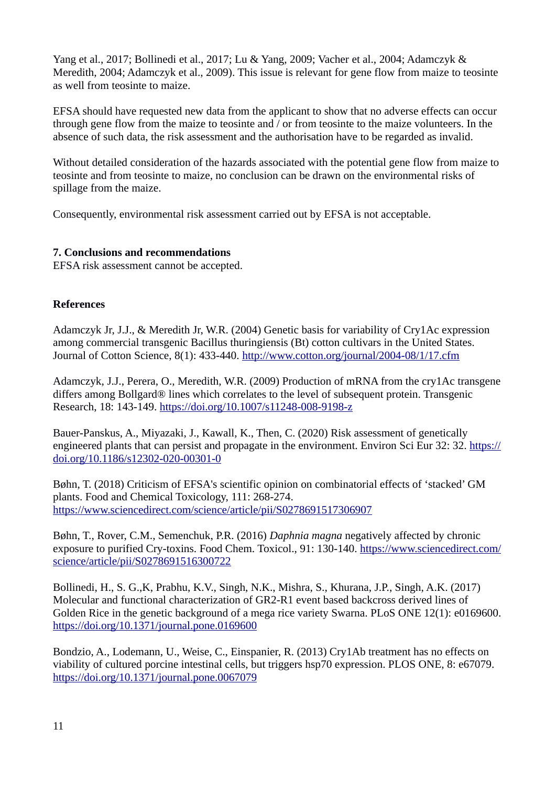Yang et al., 2017; Bollinedi et al., 2017; Lu & Yang, 2009; Vacher et al., 2004; Adamczyk & Meredith, 2004; Adamczyk et al., 2009). This issue is relevant for gene flow from maize to teosinte as well from teosinte to maize.

EFSA should have requested new data from the applicant to show that no adverse effects can occur through gene flow from the maize to teosinte and / or from teosinte to the maize volunteers. In the absence of such data, the risk assessment and the authorisation have to be regarded as invalid.

Without detailed consideration of the hazards associated with the potential gene flow from maize to teosinte and from teosinte to maize, no conclusion can be drawn on the environmental risks of spillage from the maize.

Consequently, environmental risk assessment carried out by EFSA is not acceptable.

#### **7. Conclusions and recommendations**

EFSA risk assessment cannot be accepted.

#### **References**

Adamczyk Jr, J.J., & Meredith Jr, W.R. (2004) Genetic basis for variability of Cry1Ac expression among commercial transgenic Bacillus thuringiensis (Bt) cotton cultivars in the United States. Journal of Cotton Science, 8(1): 433-440.<http://www.cotton.org/journal/2004-08/1/17.cfm>

Adamczyk, J.J., Perera, O., Meredith, W.R. (2009) Production of mRNA from the cry1Ac transgene differs among Bollgard® lines which correlates to the level of subsequent protein. Transgenic Research, 18: 143-149.<https://doi.org/10.1007/s11248-008-9198-z>

Bauer-Panskus, A., Miyazaki, J., Kawall, K., Then, C. (2020) Risk assessment of genetically engineered plants that can persist and propagate in the environment. Environ Sci Eur 32: 32. [https://](https://doi.org/10.1186/s12302-020-00301-0) [doi.org/10.1186/s12302-020-00301-0](https://doi.org/10.1186/s12302-020-00301-0)

Bøhn, T. (2018) Criticism of EFSA's scientific opinion on combinatorial effects of 'stacked' GM plants. Food and Chemical Toxicology, 111: 268-274. <https://www.sciencedirect.com/science/article/pii/S0278691517306907>

Bøhn, T., Rover, C.M., Semenchuk, P.R. (2016) *Daphnia magna* negatively affected by chronic exposure to purified Cry-toxins. Food Chem. Toxicol., 91: 130-140. [https://www.sciencedirect.com/](https://www.sciencedirect.com/science/article/pii/S0278691516300722) [science/article/pii/S0278691516300722](https://www.sciencedirect.com/science/article/pii/S0278691516300722)

Bollinedi, H., S. G.,K, Prabhu, K.V., Singh, N.K., Mishra, S., Khurana, J.P., Singh, A.K. (2017) Molecular and functional characterization of GR2-R1 event based backcross derived lines of Golden Rice in the genetic background of a mega rice variety Swarna. PLoS ONE 12(1): e0169600. <https://doi.org/10.1371/journal.pone.0169600>

Bondzio, A., Lodemann, U., Weise, C., Einspanier, R. (2013) Cry1Ab treatment has no effects on viability of cultured porcine intestinal cells, but triggers hsp70 expression. PLOS ONE, 8: e67079. <https://doi.org/10.1371/journal.pone.0067079>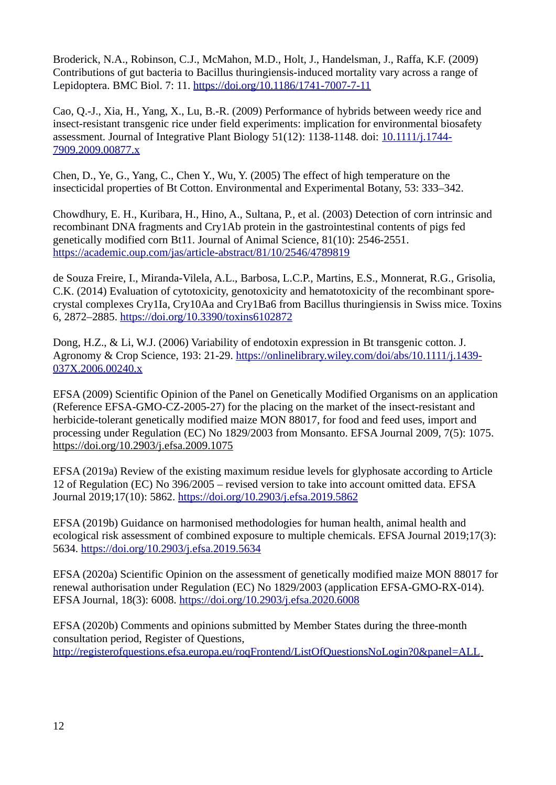Broderick, N.A., Robinson, C.J., McMahon, M.D., Holt, J., Handelsman, J., Raffa, K.F. (2009) Contributions of gut bacteria to Bacillus thuringiensis-induced mortality vary across a range of Lepidoptera. BMC Biol. 7: 11. <https://doi.org/10.1186/1741-7007-7-11>

Cao, Q.-J., Xia, H., Yang, X., Lu, B.-R. (2009) Performance of hybrids between weedy rice and insect-resistant transgenic rice under field experiments: implication for environmental biosafety assessment. Journal of Integrative Plant Biology 51(12): 1138-1148. doi: [10.1111/j.1744-](https://doi.org/10.1111/j.1744-7909.2009.00877.x) [7909.2009.00877.x](https://doi.org/10.1111/j.1744-7909.2009.00877.x)

Chen, D., Ye, G., Yang, C., Chen Y., Wu, Y. (2005) The effect of high temperature on the insecticidal properties of Bt Cotton. Environmental and Experimental Botany, 53: 333–342.

Chowdhury, E. H., Kuribara, H., Hino, A., Sultana, P., et al. (2003) Detection of corn intrinsic and recombinant DNA fragments and Cry1Ab protein in the gastrointestinal contents of pigs fed genetically modified corn Bt11. Journal of Animal Science, 81(10): 2546-2551. <https://academic.oup.com/jas/article-abstract/81/10/2546/4789819>

de Souza Freire, I., Miranda-Vilela, A.L., Barbosa, L.C.P., Martins, E.S., Monnerat, R.G., Grisolia, C.K. (2014) Evaluation of cytotoxicity, genotoxicity and hematotoxicity of the recombinant sporecrystal complexes Cry1Ia, Cry10Aa and Cry1Ba6 from Bacillus thuringiensis in Swiss mice. Toxins 6, 2872–2885. <https://doi.org/10.3390/toxins6102872>

Dong, H.Z., & Li, W.J. (2006) Variability of endotoxin expression in Bt transgenic cotton. J. Agronomy & Crop Science, 193: 21-29. [https://onlinelibrary.wiley.com/doi/abs/10.1111/j.1439-](https://onlinelibrary.wiley.com/doi/abs/10.1111/j.1439-037X.2006.00240.x) [037X.2006.00240.x](https://onlinelibrary.wiley.com/doi/abs/10.1111/j.1439-037X.2006.00240.x)

EFSA (2009) Scientific Opinion of the Panel on Genetically Modified Organisms on an application (Reference EFSA-GMO-CZ-2005-27) for the placing on the market of the insect-resistant and herbicide-tolerant genetically modified maize MON 88017, for food and feed uses, import and processing under Regulation (EC) No 1829/2003 from Monsanto. EFSA Journal 2009, 7(5): 1075. <https://doi.org/10.2903/j.efsa.2009.1075>

EFSA (2019a) Review of the existing maximum residue levels for glyphosate according to Article 12 of Regulation (EC) No 396/2005 – revised version to take into account omitted data. EFSA Journal 2019;17(10): 5862. <https://doi.org/10.2903/j.efsa.2019.5862>

EFSA (2019b) Guidance on harmonised methodologies for human health, animal health and ecological risk assessment of combined exposure to multiple chemicals. EFSA Journal 2019;17(3): 5634. <https://doi.org/10.2903/j.efsa.2019.5634>

EFSA (2020a) Scientific Opinion on the assessment of genetically modified maize MON 88017 for renewal authorisation under Regulation (EC) No 1829/2003 (application EFSA-GMO-RX-014). EFSA Journal, 18(3): 6008.<https://doi.org/10.2903/j.efsa.2020.6008>

EFSA (2020b) Comments and opinions submitted by Member States during the three-month consultation period, Register of Questions, <http://registerofquestions.efsa.europa.eu/roqFrontend/ListOfQuestionsNoLogin?0&panel=ALL>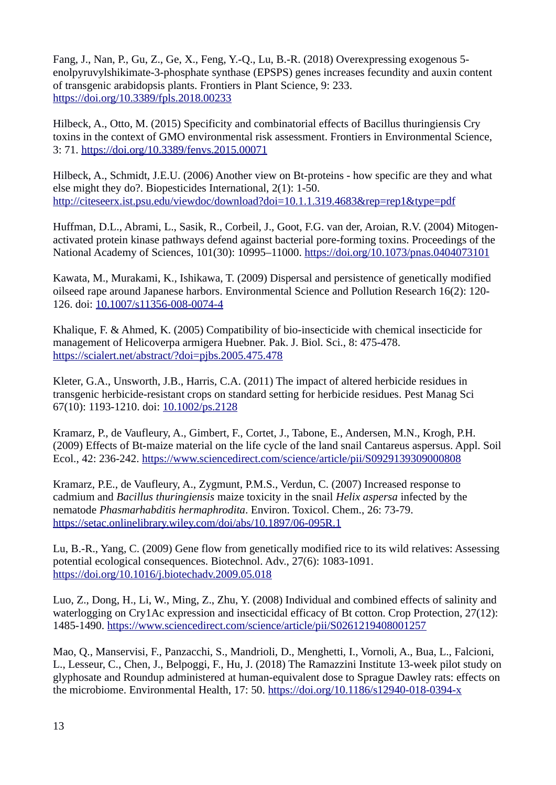Fang, J., Nan, P., Gu, Z., Ge, X., Feng, Y.-Q., Lu, B.-R. (2018) Overexpressing exogenous 5 enolpyruvylshikimate-3-phosphate synthase (EPSPS) genes increases fecundity and auxin content of transgenic arabidopsis plants. Frontiers in Plant Science, 9: 233. https://doi.org/10.3389/fpls.2018.00233

Hilbeck, A., Otto, M. (2015) Specificity and combinatorial effects of Bacillus thuringiensis Cry toxins in the context of GMO environmental risk assessment. Frontiers in Environmental Science, 3: 71.<https://doi.org/10.3389/fenvs.2015.00071>

Hilbeck, A., Schmidt, J.E.U. (2006) Another view on Bt-proteins - how specific are they and what else might they do?. Biopesticides International, 2(1): 1-50. <http://citeseerx.ist.psu.edu/viewdoc/download?doi=10.1.1.319.4683&rep=rep1&type=pdf>

Huffman, D.L., Abrami, L., Sasik, R., Corbeil, J., Goot, F.G. van der, Aroian, R.V. (2004) Mitogenactivated protein kinase pathways defend against bacterial pore-forming toxins. Proceedings of the National Academy of Sciences, 101(30): 10995–11000.<https://doi.org/10.1073/pnas.0404073101>

Kawata, M., Murakami, K., Ishikawa, T. (2009) Dispersal and persistence of genetically modified oilseed rape around Japanese harbors. Environmental Science and Pollution Research 16(2): 120- 126. doi: [10.1007/s11356-008-0074-4](https://doi.org/10.1007/s11356-008-0074-4)

Khalique, F. & Ahmed, K. (2005) Compatibility of bio-insecticide with chemical insecticide for management of Helicoverpa armigera Huebner. Pak. J. Biol. Sci., 8: 475-478. <https://scialert.net/abstract/?doi=pjbs.2005.475.478>

Kleter, G.A., Unsworth, J.B., Harris, C.A. (2011) The impact of altered herbicide residues in transgenic herbicide-resistant crops on standard setting for herbicide residues. Pest Manag Sci 67(10): 1193-1210. doi: [10.1002/ps.2128](https://doi.org/10.1002/ps.2128)

Kramarz, P., de Vaufleury, A., Gimbert, F., Cortet, J., Tabone, E., Andersen, M.N., Krogh, P.H. (2009) Effects of Bt-maize material on the life cycle of the land snail Cantareus aspersus. Appl. Soil Ecol., 42: 236-242.<https://www.sciencedirect.com/science/article/pii/S0929139309000808>

Kramarz, P.E., de Vaufleury, A., Zygmunt, P.M.S., Verdun, C. (2007) Increased response to cadmium and *Bacillus thuringiensis* maize toxicity in the snail *Helix aspersa* infected by the nematode *Phasmarhabditis hermaphrodita*. Environ. Toxicol. Chem., 26: 73-79. <https://setac.onlinelibrary.wiley.com/doi/abs/10.1897/06-095R.1>

Lu, B.-R., Yang, C. (2009) Gene flow from genetically modified rice to its wild relatives: Assessing potential ecological consequences. Biotechnol. Adv., 27(6): 1083-1091. <https://doi.org/10.1016/j.biotechadv.2009.05.018>

Luo, Z., Dong, H., Li, W., Ming, Z., Zhu, Y. (2008) Individual and combined effects of salinity and waterlogging on Cry1Ac expression and insecticidal efficacy of Bt cotton. Crop Protection, 27(12): 1485-1490. <https://www.sciencedirect.com/science/article/pii/S0261219408001257>

Mao, Q., Manservisi, F., Panzacchi, S., Mandrioli, D., Menghetti, I., Vornoli, A., Bua, L., Falcioni, L., Lesseur, C., Chen, J., Belpoggi, F., Hu, J. (2018) The Ramazzini Institute 13-week pilot study on glyphosate and Roundup administered at human-equivalent dose to Sprague Dawley rats: effects on the microbiome. Environmental Health, 17: 50.<https://doi.org/10.1186/s12940-018-0394-x>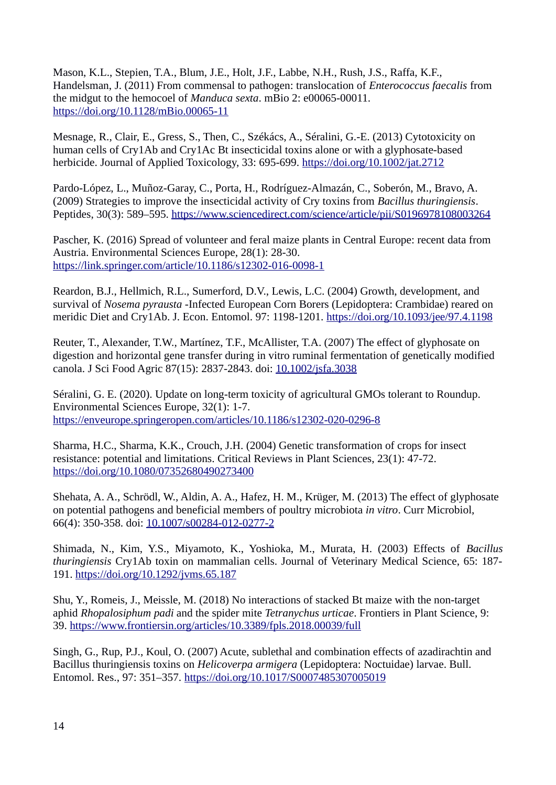Mason, K.L., Stepien, T.A., Blum, J.E., Holt, J.F., Labbe, N.H., Rush, J.S., Raffa, K.F., Handelsman, J. (2011) From commensal to pathogen: translocation of *Enterococcus faecalis* from the midgut to the hemocoel of *Manduca sexta*. mBio 2: e00065-00011. <https://doi.org/10.1128/mBio.00065-11>

Mesnage, R., Clair, E., Gress, S., Then, C., Székács, A., Séralini, G.-E. (2013) Cytotoxicity on human cells of Cry1Ab and Cry1Ac Bt insecticidal toxins alone or with a glyphosate-based herbicide. Journal of Applied Toxicology, 33: 695-699.<https://doi.org/10.1002/jat.2712>

Pardo-López, L., Muñoz-Garay, C., Porta, H., Rodríguez-Almazán, C., Soberón, M., Bravo, A. (2009) Strategies to improve the insecticidal activity of Cry toxins from *Bacillus thuringiensis*. Peptides, 30(3): 589–595. <https://www.sciencedirect.com/science/article/pii/S0196978108003264>

Pascher, K. (2016) Spread of volunteer and feral maize plants in Central Europe: recent data from Austria. Environmental Sciences Europe, 28(1): 28-30. <https://link.springer.com/article/10.1186/s12302-016-0098-1>

Reardon, B.J., Hellmich, R.L., Sumerford, D.V., Lewis, L.C. (2004) Growth, development, and survival of *Nosema pyrausta* -Infected European Corn Borers (Lepidoptera: Crambidae) reared on meridic Diet and Cry1Ab. J. Econ. Entomol. 97: 1198-1201. <https://doi.org/10.1093/jee/97.4.1198>

Reuter, T., Alexander, T.W., Martínez, T.F., McAllister, T.A. (2007) The effect of glyphosate on digestion and horizontal gene transfer during in vitro ruminal fermentation of genetically modified canola. J Sci Food Agric 87(15): 2837-2843. doi: [10.1002/jsfa.3038](https://doi.org/10.1002/jsfa.3038)

Séralini, G. E. (2020). Update on long-term toxicity of agricultural GMOs tolerant to Roundup. Environmental Sciences Europe, 32(1): 1-7. <https://enveurope.springeropen.com/articles/10.1186/s12302-020-0296-8>

Sharma, H.C., Sharma, K.K., Crouch, J.H. (2004) Genetic transformation of crops for insect resistance: potential and limitations. Critical Reviews in Plant Sciences, 23(1): 47-72. <https://doi.org/10.1080/07352680490273400>

Shehata, A. A., Schrödl, W., Aldin, A. A., Hafez, H. M., Krüger, M. (2013) The effect of glyphosate on potential pathogens and beneficial members of poultry microbiota *in vitro*. Curr Microbiol, 66(4): 350-358. doi: [10.1007/s00284-012-0277-2](https://doi.org/10.1007/s00284-012-0277-2)

Shimada, N., Kim, Y.S., Miyamoto, K., Yoshioka, M., Murata, H. (2003) Effects of *Bacillus thuringiensis* Cry1Ab toxin on mammalian cells. Journal of Veterinary Medical Science, 65: 187- 191. <https://doi.org/10.1292/jvms.65.187>

Shu, Y., Romeis, J., Meissle, M. (2018) No interactions of stacked Bt maize with the non-target aphid *Rhopalosiphum padi* and the spider mite *Tetranychus urticae*. Frontiers in Plant Science, 9: 39. <https://www.frontiersin.org/articles/10.3389/fpls.2018.00039/full>

Singh, G., Rup, P.J., Koul, O. (2007) Acute, sublethal and combination effects of azadirachtin and Bacillus thuringiensis toxins on *Helicoverpa armigera* (Lepidoptera: Noctuidae) larvae. Bull. Entomol. Res., 97: 351–357.<https://doi.org/10.1017/S0007485307005019>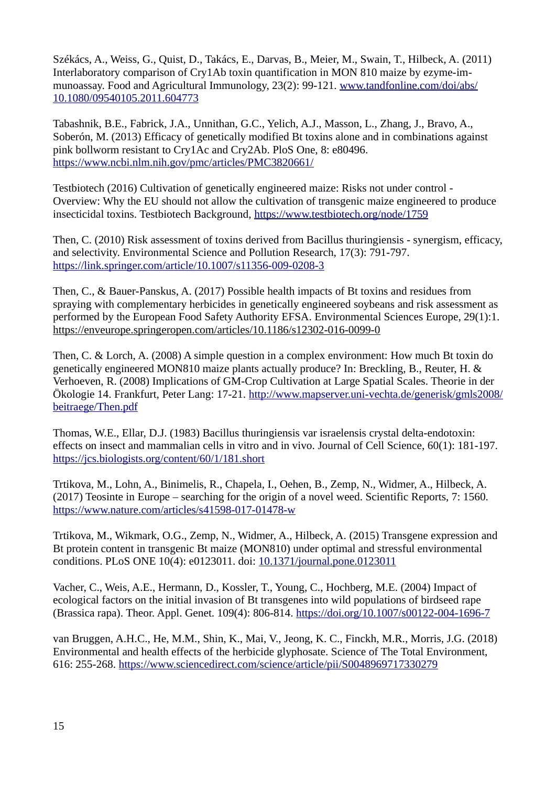Székács, A., Weiss, G., Quist, D., Takács, E., Darvas, B., Meier, M., Swain, T., Hilbeck, A. (2011) Interlaboratory comparison of Cry1Ab toxin quantification in MON 810 maize by ezyme-immunoassay. Food and Agricultural Immunology, 23(2): 99-121. [www.tandfonline.com/doi/abs/](http://www.tandfonline.com/doi/abs/10.1080/09540105.2011.604773) [10.1080/09540105.2011.604773](http://www.tandfonline.com/doi/abs/10.1080/09540105.2011.604773)

Tabashnik, B.E., Fabrick, J.A., Unnithan, G.C., Yelich, A.J., Masson, L., Zhang, J., Bravo, A., Soberón, M. (2013) Efficacy of genetically modified Bt toxins alone and in combinations against pink bollworm resistant to Cry1Ac and Cry2Ab. PloS One, 8: e80496. <https://www.ncbi.nlm.nih.gov/pmc/articles/PMC3820661/>

Testbiotech (2016) Cultivation of genetically engineered maize: Risks not under control - Overview: Why the EU should not allow the cultivation of transgenic maize engineered to produce insecticidal toxins. Testbiotech Background,<https://www.testbiotech.org/node/1759>

Then, C. (2010) Risk assessment of toxins derived from Bacillus thuringiensis - synergism, efficacy, and selectivity. Environmental Science and Pollution Research, 17(3): 791-797. <https://link.springer.com/article/10.1007/s11356-009-0208-3>

Then, C., & Bauer-Panskus, A. (2017) Possible health impacts of Bt toxins and residues from spraying with complementary herbicides in genetically engineered soybeans and risk assessment as performed by the European Food Safety Authority EFSA. Environmental Sciences Europe, 29(1):1. <https://enveurope.springeropen.com/articles/10.1186/s12302-016-0099-0>

Then, C. & Lorch, A. (2008) A simple question in a complex environment: How much Bt toxin do genetically engineered MON810 maize plants actually produce? In: Breckling, B., Reuter, H. & Verhoeven, R. (2008) Implications of GM-Crop Cultivation at Large Spatial Scales. Theorie in der Ökologie 14. Frankfurt, Peter Lang: 17-21. [http://www.mapserver.uni-vechta.de/generisk/gmls2008/](http://www.mapserver.uni-vechta.de/generisk/gmls2008/beitraege/Then.pdf) [beitraege/Then.pdf](http://www.mapserver.uni-vechta.de/generisk/gmls2008/beitraege/Then.pdf)

Thomas, W.E., Ellar, D.J. (1983) Bacillus thuringiensis var israelensis crystal delta-endotoxin: effects on insect and mammalian cells in vitro and in vivo. Journal of Cell Science, 60(1): 181-197. <https://jcs.biologists.org/content/60/1/181.short>

Trtikova, M., Lohn, A., Binimelis, R., Chapela, I., Oehen, B., Zemp, N., Widmer, A., Hilbeck, A. (2017) Teosinte in Europe – searching for the origin of a novel weed. Scientific Reports, 7: 1560. <https://www.nature.com/articles/s41598-017-01478-w>

Trtikova, M., Wikmark, O.G., Zemp, N., Widmer, A., Hilbeck, A. (2015) Transgene expression and Bt protein content in transgenic Bt maize (MON810) under optimal and stressful environmental conditions. PLoS ONE 10(4): e0123011. doi: [10.1371/journal.pone.0123011](https://doi.org/10.1371/journal.pone.0123011)

Vacher, C., Weis, A.E., Hermann, D., Kossler, T., Young, C., Hochberg, M.E. (2004) Impact of ecological factors on the initial invasion of Bt transgenes into wild populations of birdseed rape (Brassica rapa). Theor. Appl. Genet. 109(4): 806-814.<https://doi.org/10.1007/s00122-004-1696-7>

van Bruggen, A.H.C., He, M.M., Shin, K., Mai, V., Jeong, K. C., Finckh, M.R., Morris, J.G. (2018) Environmental and health effects of the herbicide glyphosate. Science of The Total Environment, 616: 255-268.<https://www.sciencedirect.com/science/article/pii/S0048969717330279>